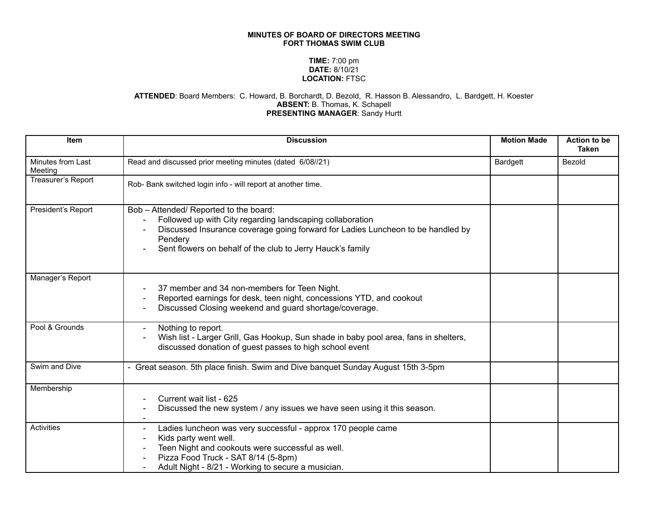## **MINUTES OF BOARD OF DIRECTORS MEETING FORT THOMAS SWIM CLUB**

## **TIME:** 7:00 pm **DATE:** 8/10/21 **LOCATION:** FTSC

## **ATTENDED**: Board Members: C. Howard, B. Borchardt, D. Bezold, R. Hasson B. Alessandro, L. Bardgett, H. Koester **ABSENT:** B. Thomas, K. Schapell **PRESENTING MANAGER**: Sandy Hurtt

| Item                         | <b>Discussion</b>                                                                                                                                                                                                                                               | <b>Motion Made</b> | Action to be<br><b>Taken</b> |
|------------------------------|-----------------------------------------------------------------------------------------------------------------------------------------------------------------------------------------------------------------------------------------------------------------|--------------------|------------------------------|
| Minutes from Last<br>Meeting | Read and discussed prior meeting minutes (dated 6/08//21)                                                                                                                                                                                                       | Bardgett           | Bezold                       |
| Treasurer's Report           | Rob- Bank switched login info - will report at another time.                                                                                                                                                                                                    |                    |                              |
| President's Report           | Bob - Attended/ Reported to the board:<br>Followed up with City regarding landscaping collaboration<br>Discussed Insurance coverage going forward for Ladies Luncheon to be handled by<br>Pendery<br>Sent flowers on behalf of the club to Jerry Hauck's family |                    |                              |
| Manager's Report             | 37 member and 34 non-members for Teen Night.<br>Reported earnings for desk, teen night, concessions YTD, and cookout<br>Discussed Closing weekend and guard shortage/coverage.                                                                                  |                    |                              |
| Pool & Grounds               | Nothing to report.<br>Wish list - Larger Grill, Gas Hookup, Sun shade in baby pool area, fans in shelters,<br>discussed donation of guest passes to high school event                                                                                           |                    |                              |
| Swim and Dive                | - Great season. 5th place finish. Swim and Dive banquet Sunday August 15th 3-5pm                                                                                                                                                                                |                    |                              |
| Membership                   | Current wait list - 625<br>Discussed the new system / any issues we have seen using it this season.                                                                                                                                                             |                    |                              |
| Activities                   | Ladies luncheon was very successful - approx 170 people came<br>$\blacksquare$<br>Kids party went well.<br>Teen Night and cookouts were successful as well.<br>Pizza Food Truck - SAT 8/14 (5-8pm)<br>Adult Night - 8/21 - Working to secure a musician.        |                    |                              |